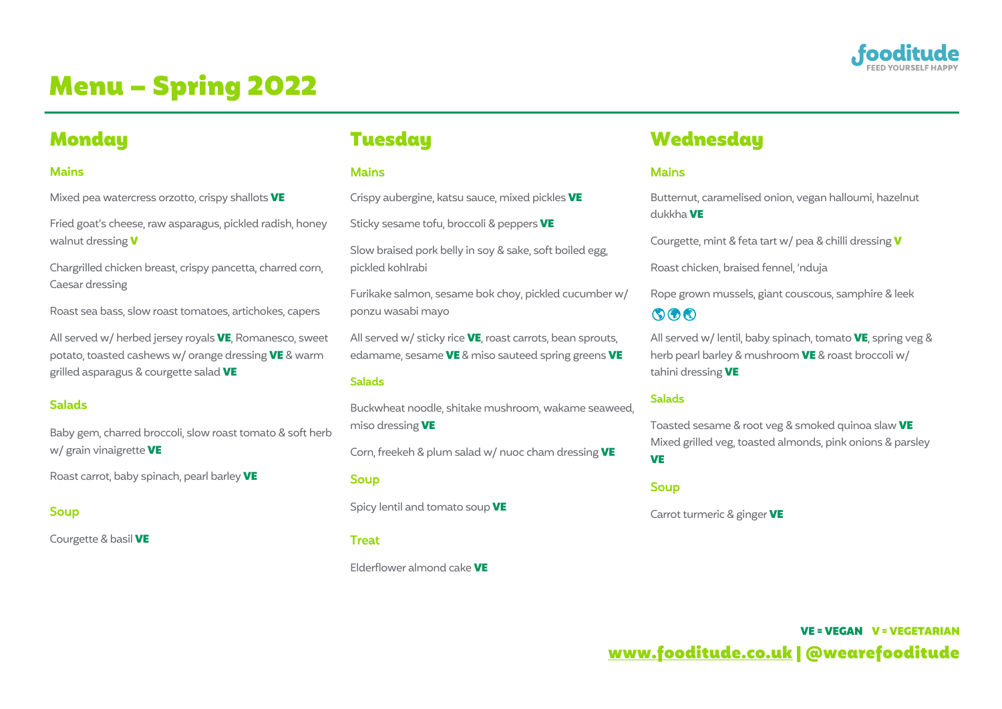

# Menu – Spring 2022

# **Monday**

# **Mains**

Mixed pea watercress orzotto, crispy shallots VE

Fried goat's cheese, raw asparagus, pickled radish, honey walnut dressing **V** 

Chargrilled chicken breast, crispy pancetta, charred corn, Caesar dressing

Roast sea bass, slow roast tomatoes, artichokes, capers

All served w/ herbed jersey royals VE, Romanesco, sweet potato, toasted cashews w/ orange dressing VE & warm grilled asparagus & courgette salad VE

# **Salads**

Baby gem, charred broccoli, slow roast tomato & soft herb w/ grain vinaigrette VE

Roast carrot, baby spinach, pearl barley VE

# Soup

Courgette & basil VE

# **Tuesday**

## **Mains**

Crispy aubergine, katsu sauce, mixed pickles VE

Sticky sesame tofu, broccoli & peppers VE

Slow braised pork belly in soy & sake, soft boiled egg, pickled kohlrabi

Furikake salmon, sesame bok choy, pickled cucumber w/ ponzu wasabi mayo

All served w/ sticky rice  $VE$ , roast carrots, bean sprouts, edamame, sesame VE & miso sauteed spring greens VE

#### Salads

Buckwheat noodle, shitake mushroom, wakame seaweed, miso dressing VE

Corn, freekeh & plum salad w/ nuoc cham dressing VE

#### Soup

Spicy lentil and tomato soup VE

#### **Treat**

Elderflower almond cake VE

# **Wednesday**

# **Mains**

Butternut, caramelised onion, vegan halloumi, hazelnut dukkha VE

Courgette, mint & feta tart w/ pea & chilli dressing V

Roast chicken, braised fennel, 'nduja

Rope grown mussels, giant couscous, samphire & leek  $\circledcirc$ 

All served w/ lentil, baby spinach, tomato  $VE$ , spring veg & herb pearl barley & mushroom VE & roast broccoli w/ tahini dressing VE

# Salads

Toasted sesame & root veg & smoked quinoa slaw VE Mixed grilled veg, toasted almonds, pink onions & parsley **VE** 

#### Soup

Carrot turmeric & ginger **VE** 

VE = VEGAN V = VEGETARIAN www.fooditude.co.uk | @wearefooditude